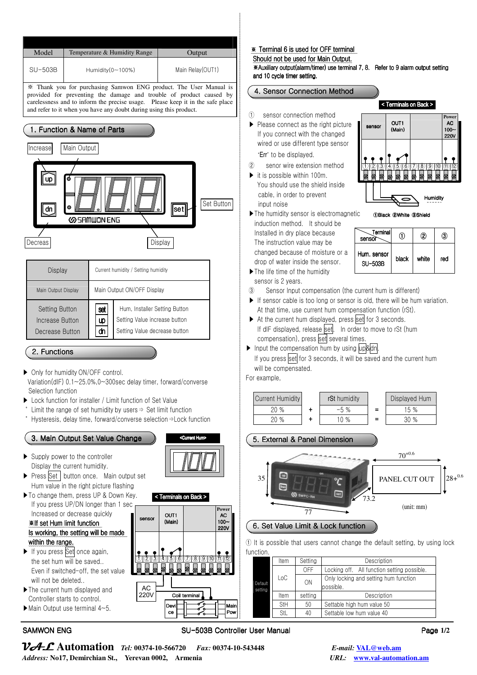

- Even if switched-off, the set value will not be deleted..
- ▶The current hum displayed and Controller starts to control.
- ▶Main Output use terminal 4~5.

### SAMWON ENG SU-503B Controller User Manual lease 1/2

Mair Main<br>Pow

Coil terminal

Devi ce

 $*$  Terminal 6 is used for OFF terminal

Should not be used for Main Output.

※Auxiliary output uxiliary output(alarm/timer) use terminal 7, 8. terminal 7, 8. Refer to efer 9 alarm output setting alarm and 10 cycle timer setting.

sensor

## 4. Sensor Connection Method

- ① sensor connection method
- ▶ Please connect as the right picture If you connect with the changed wired or use different type sensor 'Err' to be displayed.
- ② senor wire extension method
- $\blacktriangleright$  it is possible within 100m. You should use the shield inside cable, in order to prevent input noise
- ▶The humidity sensor is electromagnetic induction method. It should be Installed in dry place because The instruction value may be changed because of moisture or a drop of water inside the sensor.

| Terminal<br>sensor            |       | ②     | (3) |
|-------------------------------|-------|-------|-----|
| Hum. sensor<br><b>SU-503B</b> | black | white | red |

①Black ②White ③Shield

< Terminals on Back >

 $OUT1$ (Main)

 $\bullet$ 

**Humidity** 

① ② ③ ④ ⑤ ⑥ ⑦ ⑧ ⑨ ⑩ ⑪ ⑫

**Power** AC 100~ 220V

- ▶The life time of the humidity sensor is 2 years.
- ③ Sensor Input compensation (the current hum is different)
- ▶ If sensor cable is too long or sensor is old, there will be hum variation. At that time, use current hum compensation function (rSt).
- ▶ At the current hum displayed, press set for 3 seconds. If dIF displayed, release set. In order to move to rSt (hum compensation), press set several times.
- ▶ Input the compensation hum by using up&dn.
	- If you press set for 3 seconds, it will be saved and the current hum will be compensated.

For example,



① It is possible that users cannot change the default setting, by using lock function.

| Default<br>setting | Item | Settina | Description                                 |
|--------------------|------|---------|---------------------------------------------|
|                    | LoC  | OFF     | Locking off. All function setting possible. |
|                    |      | ON      | Only locking and setting hum function       |
|                    |      |         | possible.                                   |
|                    | Item | setting | Description                                 |
|                    | StH  | 50      | Settable high hum value 50                  |
|                    | StL  | 40      | Settable low hum value 40                   |
|                    |      |         |                                             |

VAL **Automation** *Tel:* **00374-10-566720** *Fax:* **00374-10-543448** *E-mail:* **VAL@web.am** *Address:* **No17, Demirchian St., Yerevan 0002, Armenia** *URL:* **www.val-automation.am**

AC 220V